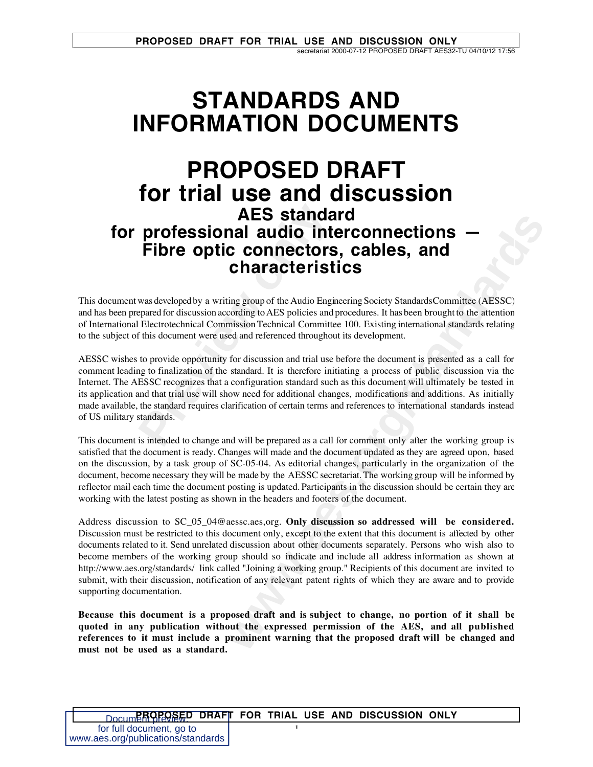## **STANDARDS AND INFORMATION DOCUMENTS**

# **AES standa<br>
professional audio into<br>
Fibre optic connectors<br>
characterist<br>
was developed by a writing group of the Audio Engir<br>
pared for discussion according to AES policies and p<br>
Electrotechnical Commission Technical C PROPOSED DRAFT for trial use and discussion AES standard for professional audio interconnections — Fibre optic connectors, cables, and characteristics**

This document was developed by a writing group of the Audio Engineering Society Standards Committee (AESSC) and has been prepared for discussion according to AES policies and procedures. It has been brought to the attention of International Electrotechnical Commission Technical Committee 100. Existing international standards relating to the subject of this document were used and referenced throughout its development.

AESSC wishes to provide opportunity for discussion and trial use before the document is presented as a call for comment leading to finalization of the standard. It is therefore initiating a process of public discussion via the Internet. The AESSC recognizes that a configuration standard such as this document will ultimately be tested in its application and that trial use will show need for additional changes, modifications and additions. As initially made available, the standard requires clarification of certain terms and references to international standards instead of US military standards.

This document is intended to change and will be prepared as a call for comment only after the working group is satisfied that the document is ready. Changes will made and the document updated as they are agreed upon, based on the discussion, by a task group of SC-05-04. As editorial changes, particularly in the organization of the document, become necessary they will be made by the AESSC secretariat. The working group will be informed by reflector mail each time the document posting is updated. Participants in the discussion should be certain they are working with the latest posting as shown in the headers and footers of the document.

**Example 12**<br> **Example 12**<br> **Connectors, cables, and<br>
<b>Connectors, cables, and<br>
<b>Characteristics**<br>
The Audio Engineering Society Standards Committee (AFSSC)<br>
transfer to AES policists and procedures. It has been brownth to Address discussion to SC\_05\_04@aessc.aes,org. **Only discussion so addressed will be considered.** Discussion must be restricted to this document only, except to the extent that this document is affected by other documents related to it. Send unrelated discussion about other documents separately. Persons who wish also to become members of the working group should so indicate and include all address information as shown at http://www.aes.org/standards/ link called "Joining a working group." Recipients of this document are invited to submit, with their discussion, notification of any relevant patent rights of which they are aware and to provide supporting documentation.

**Because this document is a proposed draft and is subject to change, no portion of it shall be quoted in any publication without the expressed permission of the AES, and all published references to it must include a prominent warning that the proposed draft will be changed and must not be used as a standard.**

1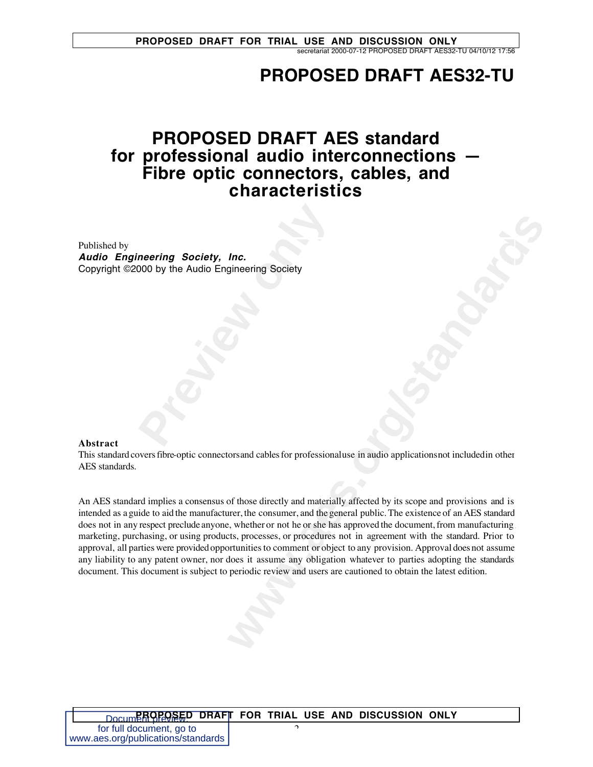## **PROPOSED DRAFT AES32-TU**

## **PROPOSED DRAFT AES standard for professional audio interconnections — Fibre optic connectors, cables, and characteristics**

**Previous Society, Inc.**<br>
DOO by the Audio Engineering Society<br> **Provides Society** Published by **Audio Engineering Society, Inc.** Copyright ©2000 by the Audio Engineering Society

#### **Abstract**

This standard covers fibre-optic connectors and cables for professional use in audio applications not included in other AES standards.

**Inc.**<br> **windering Society**<br>
Scriber Society<br>
Scriber Society<br>
Scriber Society and materially affected by its scope and provisions and is<br>
or those directly and materially affected by its scope and provisions and is<br>
the p An AES standard implies a consensus of those directly and materially affected by its scope and provisions and is intended as a guide to aid the manufacturer, the consumer, and the general public. The existence of an AES standard does not in any respect preclude anyone, whether or not he or she has approved the document, from manufacturing marketing, purchasing, or using products, processes, or procedures not in agreement with the standard. Prior to approval, all parties were provided opportunities to comment or object to any provision. Approval does not assume any liability to any patent owner, nor does it assume any obligation whatever to parties adopting the standards document. This document is subject to periodic review and users are cautioned to obtain the latest edition.

| DocumerOPOSED DRAFT FOR TRIAL USE AND DISCUSSION ONLY |  |  |
|-------------------------------------------------------|--|--|
| for full document, go to                              |  |  |
| www.aes.org/publications/standards                    |  |  |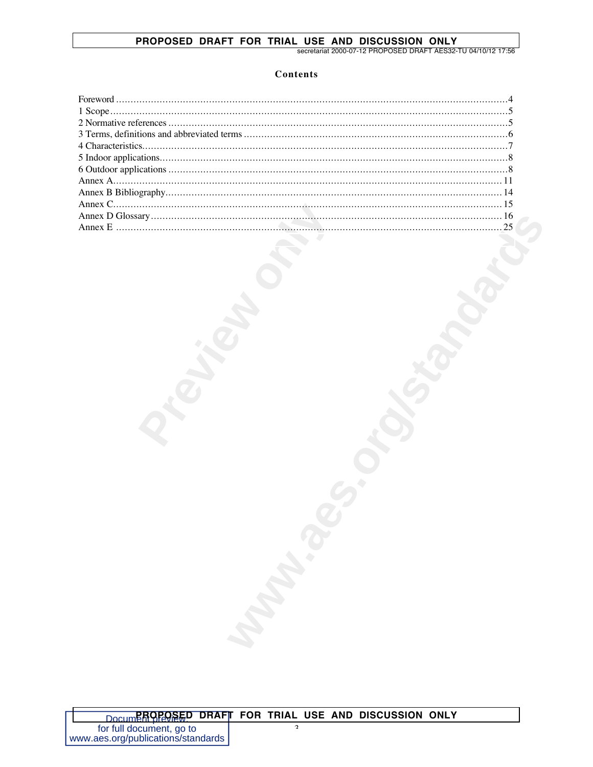#### PROPOSED DRAFT FOR TRIAL USE AND DISCUSSION ONLY

secretariat 2000-07-12 PROPOSED DRAFT AES32-TU 04/10/12 17:56

#### Contents

| <b>Mandale</b> |  |
|----------------|--|
|                |  |
|                |  |
|                |  |
|                |  |
|                |  |

 $\mathcal{L}$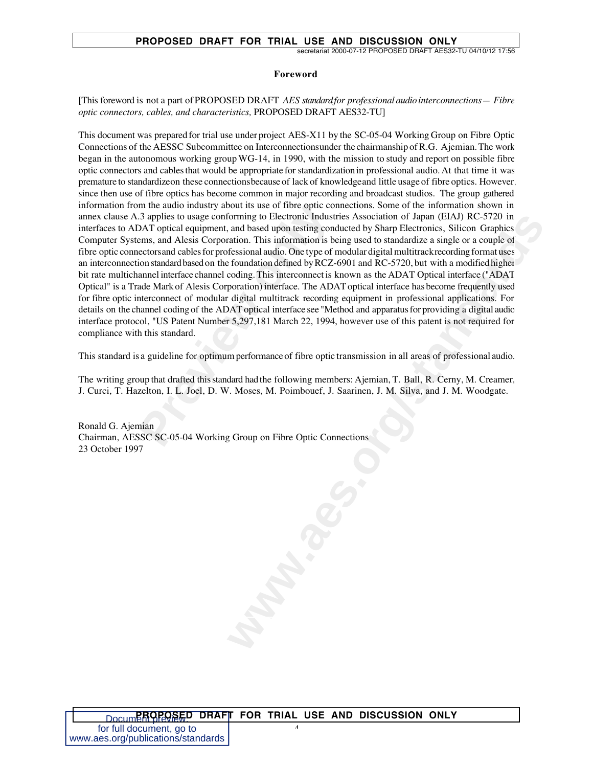#### **PROPOSED DRAFT FOR TRIAL USE AND DISCUSSION ONLY**

secretariat 2000-07-12 PROPOSED DRAFT AES32-TU 04/10/12 17:56

#### **Foreword**

[This foreword is not a part of PROPOSED DRAFT *AES standard for professional audio interconnections — Fibre optic connectors, cables, and characteristics,* PROPOSED DRAFT AES32-TU]

m the audio industry about its use of tibre optic cointing applies to usage conforming to Electronic Industry DAT optical equipment, and based upon testing condens, and Alesis Corporation. This information is bectors and c forming to Electronic Industries Association of Japan (EIAA) RC-5720 in<br>stand based upon testing conducted by Sharp Electronics. Silicon Graphics<br>action. This information's being used to standardize a single or a couple of This document was prepared for trial use under project AES-X11 by the SC-05-04 Working Group on Fibre Optic Connections of the AESSC Subcommittee on Interconnections under the chairmanship of R.G. Ajemian. The work began in the autonomous working group WG-14, in 1990, with the mission to study and report on possible fibre optic connectors and cables that would be appropriate for standardization in professional audio. At that time it was premature to standardize on these connections because of lack of knowledge and little usage of fibre optics. However, since then use of fibre optics has become common in major recording and broadcast studios. The group gathered information from the audio industry about its use of fibre optic connections. Some of the information shown in annex clause A.3 applies to usage conforming to Electronic Industries Association of Japan (EIAJ) RC-5720 in interfaces to ADAT optical equipment, and based upon testing conducted by Sharp Electronics, Silicon Graphics Computer Systems, and Alesis Corporation. This information is being used to standardize a single or a couple of fibre optic connectors and cables for professional audio. One type of modular digital multitrack recording format uses an interconnection standard based on the foundation defined by RCZ-6901 and RC-5720, but with a modified higher bit rate multichannel interface channel coding. This interconnect is known as the ADAT Optical interface ("ADAT Optical" is a Trade Mark of Alesis Corporation) interface. The ADAT optical interface has become frequently used for fibre optic interconnect of modular digital multitrack recording equipment in professional applications. For details on the channel coding of the ADAT optical interface see "Method and apparatus for providing a digital audio interface protocol, "US Patent Number 5,297,181 March 22, 1994, however use of this patent is not required for compliance with this standard.

This standard is a guideline for optimum performance of fibre optic transmission in all areas of professional audio.

The writing group that drafted this standard had the following members: Ajemian, T. Ball, R. Cerny, M. Creamer, J. Curci, T. Hazelton, I. L. Joel, D. W. Moses, M. Poimbouef, J. Saarinen, J. M. Silva, and J. M. Woodgate.

Ronald G. Ajemian Chairman, AESSC SC-05-04 Working Group on Fibre Optic Connections 23 October 1997

 $\overline{a}$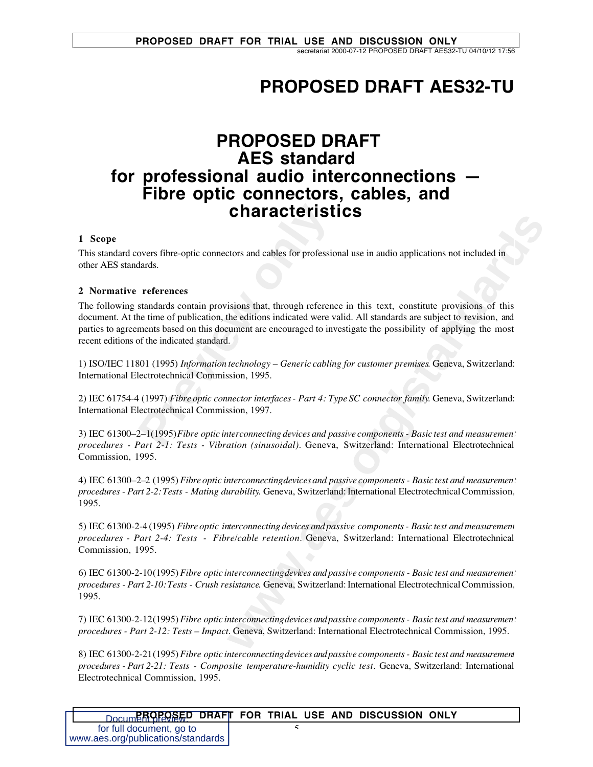## **PROPOSED DRAFT AES32-TU**

### **PROPOSED DRAFT AES standard for professional audio interconnections — Fibre optic connectors, cables, and characteristics**

#### **1 Scope**

This standard covers fibre-optic connectors and cables for professional use in audio applications not included in other AES standards.

#### **2 Normative references**

**Characterist**<br>
by evers fibre-optic connectors and cables for professio<br>
lards.<br> **Preferences**<br>
standards contain provisions that, through reference<br>
ne time of publication, the editions indicated were v.<br>
ments based on **Example 12 CCT 13 CCCS**<br> **We added that through reference in this text, constitute provisions of this deviations indicated were valid. All standards are subject to revision, and<br>
the editions indicated were valid. All sta** The following standards contain provisions that, through reference in this text, constitute provisions of this document. At the time of publication, the editions indicated were valid. All standards are subject to revision, and parties to agreements based on this document are encouraged to investigate the possibility of applying the most recent editions of the indicated standard.

1) ISO/IEC 11801 (1995) *Information technology – Generic cabling for customer premises*. Geneva, Switzerland: International Electrotechnical Commission, 1995.

2) IEC 61754-4 (1997) *Fibre optic connector interfaces - Part 4: Type SC connector family*. Geneva, Switzerland: International Electrotechnical Commission, 1997.

3) IEC 61300–2–1(1995) *Fibre optic interconnecting devices and passive components - Basic test and measurement procedures - Part 2-1: Tests - Vibration (sinusoidal).* Geneva, Switzerland: International Electrotechnical Commission, 1995.

4) IEC 61300–2–2 (1995) *Fibre optic interconnecting devices and passive components - Basic test and measurement procedures - Part 2-2: Tests - Mating durability*. Geneva, Switzerland: International Electrotechnical Commission, 1995.

5) IEC 61300-2-4 (1995) *Fibre optic interconnecting devices and passive components - Basic test and measurement procedures - Part 2-4: Tests - Fibre/cable retention.* Geneva, Switzerland: International Electrotechnical Commission, 1995.

6) IEC 61300-2-10 (1995) *Fibre optic interconnecting devices and passive components - Basic test and measurement procedures - Part 2-10: Tests - Crush resistance*. Geneva, Switzerland: International Electrotechnical Commission, 1995.

7) IEC 61300-2-12 (1995) *Fibre optic interconnecting devices and passive components - Basic test and measurement procedures - Part 2-12: Tests – Impact.* Geneva, Switzerland: International Electrotechnical Commission, 1995.

8) IEC 61300-2-21 (1995) *Fibre optic interconnecting devices and passive components - Basic test and measurement procedures - Part 2-21: Tests - Composite temperature-humidity cyclic test*. Geneva, Switzerland: International Electrotechnical Commission, 1995.

| <b>DOCUMPROPOSED DRAFT FOR TRIAL USE AND DISCUSSION ONLY</b> |  |  |  |  |
|--------------------------------------------------------------|--|--|--|--|
| for full document, go to                                     |  |  |  |  |
| www.aes.org/publications/standards                           |  |  |  |  |